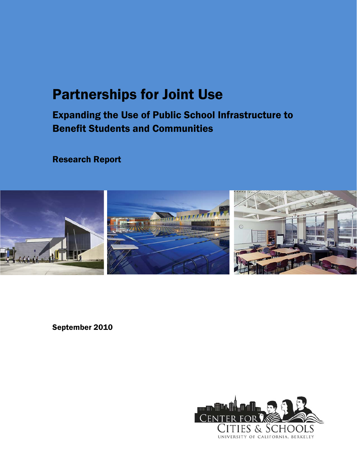# Partnerships for Joint Use

Expanding the Use of Public School Infrastructure to Benefit Students and Communities

Research Report



September 2010

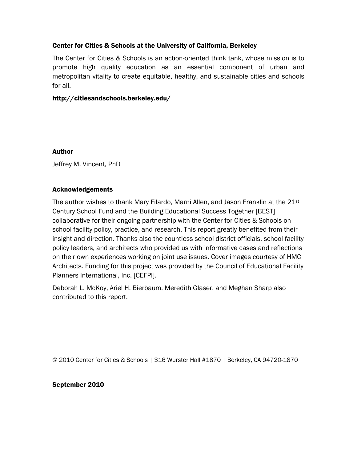### Center for Cities & Schools at the University of California, Berkeley

The Center for Cities & Schools is an action-oriented think tank, whose mission is to promote high quality education as an essential component of urban and metropolitan vitality to create equitable, healthy, and sustainable cities and schools for all.

#### http://citiesandschools.berkeley.edu/

#### Author

Jeffrey M. Vincent, PhD

#### Acknowledgements

The author wishes to thank Mary Filardo, Marni Allen, and Jason Franklin at the 21<sup>st</sup> Century School Fund and the Building Educational Success Together [BEST] collaborative for their ongoing partnership with the Center for Cities & Schools on school facility policy, practice, and research. This report greatly benefited from their insight and direction. Thanks also the countless school district officials, school facility policy leaders, and architects who provided us with informative cases and reflections on their own experiences working on joint use issues. Cover images courtesy of HMC Architects. Funding for this project was provided by the Council of Educational Facility Planners International, Inc. [CEFPI].

Deborah L. McKoy, Ariel H. Bierbaum, Meredith Glaser, and Meghan Sharp also contributed to this report.

© 2010 Center for Cities & Schools | 316 Wurster Hall #1870 | Berkeley, CA 94720-1870

September 2010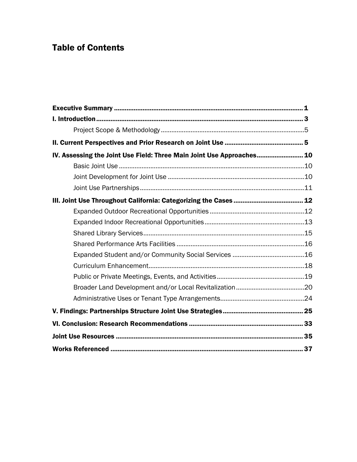# Table of Contents

| IV. Assessing the Joint Use Field: Three Main Joint Use Approaches 10 |  |
|-----------------------------------------------------------------------|--|
|                                                                       |  |
|                                                                       |  |
|                                                                       |  |
|                                                                       |  |
|                                                                       |  |
|                                                                       |  |
|                                                                       |  |
|                                                                       |  |
|                                                                       |  |
|                                                                       |  |
|                                                                       |  |
|                                                                       |  |
|                                                                       |  |
|                                                                       |  |
|                                                                       |  |
|                                                                       |  |
|                                                                       |  |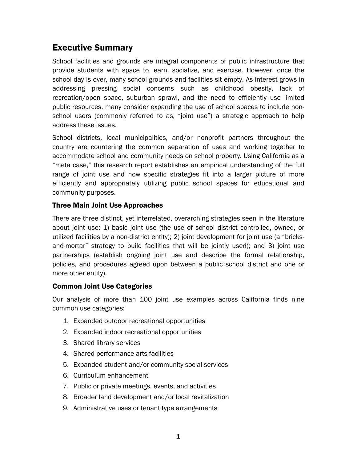# Executive Summary

School facilities and grounds are integral components of public infrastructure that provide students with space to learn, socialize, and exercise. However, once the school day is over, many school grounds and facilities sit empty. As interest grows in addressing pressing social concerns such as childhood obesity, lack of recreation/open space, suburban sprawl, and the need to efficiently use limited public resources, many consider expanding the use of school spaces to include nonschool users (commonly referred to as, "joint use") a strategic approach to help address these issues.

School districts, local municipalities, and/or nonprofit partners throughout the country are countering the common separation of uses and working together to accommodate school and community needs on school property. Using California as a "meta case," this research report establishes an empirical understanding of the full range of joint use and how specific strategies fit into a larger picture of more efficiently and appropriately utilizing public school spaces for educational and community purposes.

# Three Main Joint Use Approaches

There are three distinct, yet interrelated, overarching strategies seen in the literature about joint use: 1) basic joint use (the use of school district controlled, owned, or utilized facilities by a non-district entity); 2) joint development for joint use (a "bricksand-mortar" strategy to build facilities that will be jointly used); and 3) joint use partnerships (establish ongoing joint use and describe the formal relationship, policies, and procedures agreed upon between a public school district and one or more other entity).

### Common Joint Use Categories

Our analysis of more than 100 joint use examples across California finds nine common use categories:

- 1. Expanded outdoor recreational opportunities
- 2. Expanded indoor recreational opportunities
- 3. Shared library services
- 4. Shared performance arts facilities
- 5. Expanded student and/or community social services
- 6. Curriculum enhancement
- 7. Public or private meetings, events, and activities
- 8. Broader land development and/or local revitalization
- 9. Administrative uses or tenant type arrangements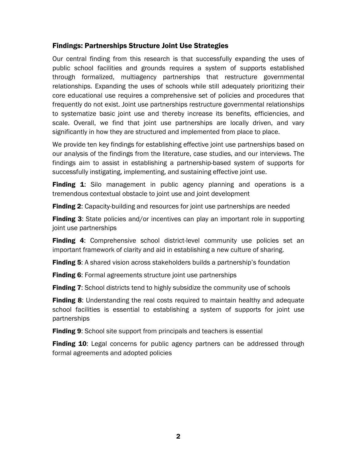# Findings: Partnerships Structure Joint Use Strategies

Our central finding from this research is that successfully expanding the uses of public school facilities and grounds requires a system of supports established through formalized, multiagency partnerships that restructure governmental relationships. Expanding the uses of schools while still adequately prioritizing their core educational use requires a comprehensive set of policies and procedures that frequently do not exist. Joint use partnerships restructure governmental relationships to systematize basic joint use and thereby increase its benefits, efficiencies, and scale. Overall, we find that joint use partnerships are locally driven, and vary significantly in how they are structured and implemented from place to place.

We provide ten key findings for establishing effective joint use partnerships based on our analysis of the findings from the literature, case studies, and our interviews. The findings aim to assist in establishing a partnership-based system of supports for successfully instigating, implementing, and sustaining effective joint use.

**Finding 1:** Silo management in public agency planning and operations is a tremendous contextual obstacle to joint use and joint development

**Finding 2:** Capacity-building and resources for joint use partnerships are needed

**Finding 3:** State policies and/or incentives can play an important role in supporting joint use partnerships

Finding 4: Comprehensive school district-level community use policies set an important framework of clarity and aid in establishing a new culture of sharing.

Finding 5: A shared vision across stakeholders builds a partnership's foundation

**Finding 6:** Formal agreements structure joint use partnerships

**Finding 7:** School districts tend to highly subsidize the community use of schools

**Finding 8:** Understanding the real costs required to maintain healthy and adequate school facilities is essential to establishing a system of supports for joint use partnerships

**Finding 9:** School site support from principals and teachers is essential

**Finding 10:** Legal concerns for public agency partners can be addressed through formal agreements and adopted policies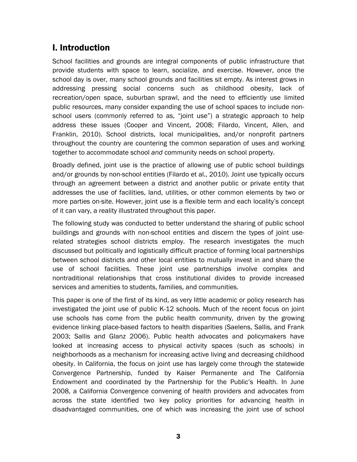# I. Introduction

School facilities and grounds are integral components of public infrastructure that provide students with space to learn, socialize, and exercise. However, once the school day is over, many school grounds and facilities sit empty. As interest grows in addressing pressing social concerns such as childhood obesity, lack of recreation/open space, suburban sprawl, and the need to efficiently use limited public resources, many consider expanding the use of school spaces to include nonschool users (commonly referred to as, "joint use") a strategic approach to help address these issues (Cooper and Vincent, 2008; Filardo, Vincent, Allen, and Franklin, 2010). School districts, local municipalities, and/or nonprofit partners throughout the country are countering the common separation of uses and working together to accommodate school *and* community needs on school property.

Broadly defined, joint use is the practice of allowing use of public school buildings and/or grounds by non-school entities (Filardo et al., 2010). Joint use typically occurs through an agreement between a district and another public or private entity that addresses the use of facilities, land, utilities, or other common elements by two or more parties on-site. However, joint use is a flexible term and each locality's concept of it can vary, a reality illustrated throughout this paper.

The following study was conducted to better understand the sharing of public school buildings and grounds with non-school entities and discern the types of joint userelated strategies school districts employ. The research investigates the much discussed but politically and logistically difficult practice of forming local partnerships between school districts and other local entities to mutually invest in and share the use of school facilities. These joint use partnerships involve complex and nontraditional relationships that cross institutional divides to provide increased services and amenities to students, families, and communities.

This paper is one of the first of its kind, as very little academic or policy research has investigated the joint use of public K-12 schools. Much of the recent focus on joint use schools has come from the public health community, driven by the growing evidence linking place-based factors to health disparities (Saelens, Sallis, and Frank 2003; Sallis and Glanz 2006). Public health advocates and policymakers have looked at increasing access to physical activity spaces (such as schools) in neighborhoods as a mechanism for increasing active living and decreasing childhood obesity. In California, the focus on joint use has largely come through the statewide Convergence Partnership, funded by Kaiser Permanente and The California Endowment and coordinated by the Partnership for the Public's Health. In June 2008, a California Convergence convening of health providers and advocates from across the state identified two key policy priorities for advancing health in disadvantaged communities, one of which was increasing the joint use of school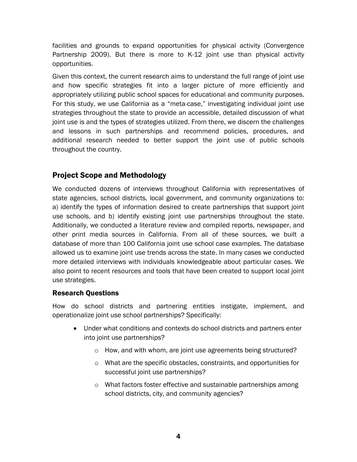facilities and grounds to expand opportunities for physical activity (Convergence Partnership 2009). But there is more to K-12 joint use than physical activity opportunities.

Given this context, the current research aims to understand the full range of joint use and how specific strategies fit into a larger picture of more efficiently and appropriately utilizing public school spaces for educational and community purposes. For this study, we use California as a "meta-case," investigating individual joint use strategies throughout the state to provide an accessible, detailed discussion of what joint use is and the types of strategies utilized. From there, we discern the challenges and lessons in such partnerships and recommend policies, procedures, and additional research needed to better support the joint use of public schools throughout the country.

# Project Scope and Methodology

We conducted dozens of interviews throughout California with representatives of state agencies, school districts, local government, and community organizations to: a) identify the types of information desired to create partnerships that support joint use schools, and b) identify existing joint use partnerships throughout the state. Additionally, we conducted a literature review and compiled reports, newspaper, and other print media sources in California. From all of these sources, we built a database of more than 100 California joint use school case examples. The database allowed us to examine joint use trends across the state. In many cases we conducted more detailed interviews with individuals knowledgeable about particular cases. We also point to recent resources and tools that have been created to support local joint use strategies.

# Research Questions

How do school districts and partnering entities instigate, implement, and operationalize joint use school partnerships? Specifically:

- Under what conditions and contexts do school districts and partners enter into joint use partnerships?
	- o How, and with whom, are joint use agreements being structured?
	- o What are the specific obstacles, constraints, and opportunities for successful joint use partnerships?
	- o What factors foster effective and sustainable partnerships among school districts, city, and community agencies?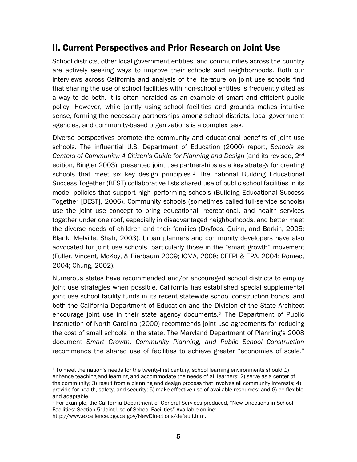# II. Current Perspectives and Prior Research on Joint Use

School districts, other local government entities, and communities across the country are actively seeking ways to improve their schools and neighborhoods. Both our interviews across California and analysis of the literature on joint use schools find that sharing the use of school facilities with non-school entities is frequently cited as a way to do both. It is often heralded as an example of smart and efficient public policy. However, while jointly using school facilities and grounds makes intuitive sense, forming the necessary partnerships among school districts, local government agencies, and community-based organizations is a complex task.

Diverse perspectives promote the community and educational benefits of joint use schools. The influential U.S. Department of Education (2000) report, *Schools as Centers of Community: A Citizen's Guide for Planning and Design* (and its revised, 2nd edition, Bingler 2003), presented joint use partnerships as a key strategy for creating schools that meet six key design principles.<sup>[1](#page-8-0)</sup> The national Building Educational Success Together (BEST) collaborative lists shared use of public school facilities in its model policies that support high performing schools (Building Educational Success Together [BEST], 2006). Community schools (sometimes called full-service schools) use the joint use concept to bring educational, recreational, and health services together under one roof, especially in disadvantaged neighborhoods, and better meet the diverse needs of children and their families (Dryfoos, Quinn, and Barkin, 2005; Blank, Melville, Shah, 2003). Urban planners and community developers have also advocated for joint use schools, particularly those in the "smart growth" movement (Fuller, Vincent, McKoy, & Bierbaum 2009; ICMA, 2008; CEFPI & EPA, 2004; Romeo, 2004; Chung, 2002).

Numerous states have recommended and/or encouraged school districts to employ joint use strategies when possible. California has established special supplemental joint use school facility funds in its recent statewide school construction bonds, and both the California Department of Education and the Division of the State Architect encourage joint use in their state agency documents.[2](#page-8-1) The Department of Public Instruction of North Carolina (2000) recommends joint use agreements for reducing the cost of small schools in the state. The Maryland Department of Planning's 2008 document *Smart Growth, Community Planning, and Public School Construction* recommends the shared use of facilities to achieve greater "economies of scale."

<span id="page-8-0"></span><sup>1</sup>  $1$  To meet the nation's needs for the twenty-first century, school learning environments should 1) enhance teaching and learning and accommodate the needs of all learners; 2) serve as a center of the community; 3) result from a planning and design process that involves all community interests; 4) provide for health, safety, and security; 5) make effective use of available resources; and 6) be flexible and adaptable.

<span id="page-8-1"></span><sup>2</sup> For example, the California Department of General Services produced, "New Directions in School Facilities: Section 5: Joint Use of School Facilities" Available online: http://www.excellence.dgs.ca.gov/NewDirections/default.htm.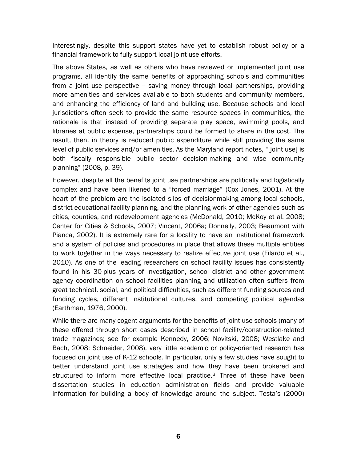Interestingly, despite this support states have yet to establish robust policy or a financial framework to fully support local joint use efforts.

The above States, as well as others who have reviewed or implemented joint use programs, all identify the same benefits of approaching schools and communities from a joint use perspective -- saving money through local partnerships, providing more amenities and services available to both students and community members, and enhancing the efficiency of land and building use. Because schools and local jurisdictions often seek to provide the same resource spaces in communities, the rationale is that instead of providing separate play space, swimming pools, and libraries at public expense, partnerships could be formed to share in the cost. The result, then, in theory is reduced public expenditure while still providing the same level of public services and/or amenities. As the Maryland report notes, "[joint use] is both fiscally responsible public sector decision-making and wise community planning" (2008, p. 39).

<span id="page-9-0"></span>However, despite all the benefits joint use partnerships are politically and logistically complex and have been likened to a "forced marriage" (Cox Jones, 2001). At the heart of the problem are the isolated silos of decisionmaking among local schools, district educational facility planning, and the planning work of other agencies such as cities, counties, and redevelopment agencies (McDonald, 2010; McKoy et al. 2008; Center for Cities & Schools, 2007; Vincent, 2006a; Donnelly, 2003; Beaumont with Pianca, 2002). It is extremely rare for a locality to have an institutional framework and a system of policies and procedures in place that allows these multiple entities to work together in the ways necessary to realize effective joint use (Filardo et al., 2010). As one of the leading researchers on school facility issues has consistently found in his 30-plus years of investigation, school district and other government agency coordination on school facilities planning and utilization often suffers from great technical, social, and political difficulties, such as different funding sources and funding cycles, different institutional cultures, and competing political agendas (Earthman, 1976, 2000).

While there are many cogent arguments for the benefits of joint use schools (many of these offered through short cases described in school facility/construction-related trade magazines; see for example Kennedy, 2006; Novitski, 2008; Westlake and Bach, 2008; Schneider, 2008), very little academic or policy-oriented research has focused on joint use of K-12 schools. In particular, only a few studies have sought to better understand joint use strategies and how they have been brokered and structured to inform more effective local practice.<sup>[3](#page-9-0)</sup> Three of these have been dissertation studies in education administration fields and provide valuable information for building a body of knowledge around the subject. Testa's (2000)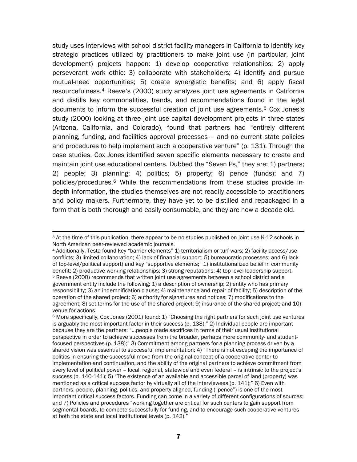study uses interviews with school district facility managers in California to identify key strategic practices utilized by practitioners to make joint use (in particular, joint development) projects happen: 1) develop cooperative relationships; 2) apply perseverant work ethic; 3) collaborate with stakeholders; 4) identify and pursue mutual-need opportunities; 5) create synergistic benefits; and 6) apply fiscal resourcefulness.[4](#page-10-0) Reeve's (2000) study analyzes joint use agreements in California and distills key commonalities, trends, and recommendations found in the legal documents to inform the successful creation of joint use agreements.[5](#page-10-1) Cox Jones's study (2000) looking at three joint use capital development projects in three states (Arizona, California, and Colorado), found that partners had "entirely different planning, funding, and facilities approval processes – and no current state policies and procedures to help implement such a cooperative venture" (p. 131). Through the case studies, Cox Jones identified seven specific elements necessary to create and maintain joint use educational centers. Dubbed the "Seven Ps," they are: 1) partners; 2) people; 3) planning; 4) politics; 5) property; 6) pence (funds); and 7) policies/procedures.[6](#page-10-2) While the recommendations from these studies provide indepth information, the studies themselves are not readily accessible to practitioners and policy makers. Furthermore, they have yet to be distilled and repackaged in a form that is both thorough and easily consumable, and they are now a decade old.

 $\overline{a}$ 

<span id="page-10-1"></span><span id="page-10-0"></span>4 Additionally, Testa found key "barrier elements" 1) territorialism or turf wars; 2) facility access/use conflicts; 3) limited collaboration; 4) lack of financial support; 5) bureaucratic processes; and 6) lack of top-level/political support) and key "supportive elements;" 1) institutionalized belief in community benefit; 2) productive working relationships; 3) strong reputations; 4) top-level leadership support.<br><sup>5</sup> Reeve (2000) recommends that written joint use agreements between a school district and a government entity include the following: 1) a description of ownership; 2) entity who has primary responsibility; 3) an indemnification clause; 4) maintenance and repair of facility; 5) description of the operation of the shared project; 6) authority for signatures and notices; 7) modifications to the agreement; 8) set terms for the use of the shared project; 9) insurance of the shared project; and 10) venue for actions.

<span id="page-10-2"></span> $6$  More specifically, Cox Jones (2001) found: 1) "Choosing the right partners for such joint use ventures is arguably the most important factor in their success (p. 138);" 2) Individual people are important because they are the partners: "…people made sacrifices in terms of their usual institutional perspective in order to achieve successes from the broader, perhaps more community- and studentfocused perspectives (p. 138);" 3) Commitment among partners for a planning process driven by a shared vision was essential to successful implementation; 4) "There is not escaping the importance of politics in ensuring the successful move from the original concept of a cooperative center to implementation and continuation, and the ability of the original partners to achieve commitment from every level of political power – local, regional, statewide and even federal – is intrinsic to the project's success (p. 140-141); 5) "The existence of an available and accessible parcel of land (property) was mentioned as a critical success factor by virtually all of the interviewees (p. 141);" 6) Even with partners, people, planning, politics, and property aligned, funding ("pence") is one of the most important critical success factors. Funding can come in a variety of different configurations of sources; and 7) Policies and procedures "working together are critical for such centers to gain support from segmental boards, to compete successfully for funding, and to encourage such cooperative ventures at both the state and local institutional levels (p. 142)."

<sup>&</sup>lt;sup>3</sup> At the time of this publication, there appear to be no studies published on joint use K-12 schools in North American peer-reviewed academic journals.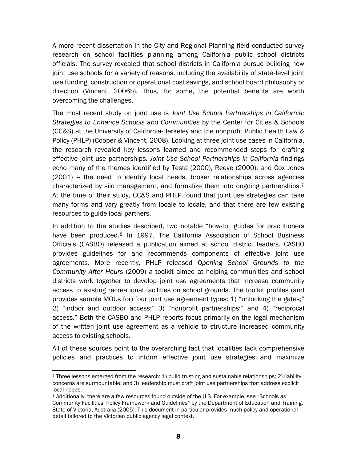A more recent dissertation in the City and Regional Planning field conducted survey research on school facilities planning among California public school districts officials. The survey revealed that school districts in California pursue building new joint use schools for a variety of reasons, including the availability of state-level joint use funding, construction or operational cost savings, and school board philosophy or direction (Vincent, 2006b). Thus, for some, the potential benefits are worth overcoming the challenges.

The most recent study on joint use is *Joint Use School Partnerships in California: Strategies to Enhance Schools and Communities* by the Center for Cities & Schools (CC&S) at the University of California-Berkeley and the nonprofit Public Health Law & Policy (PHLP) (Cooper & Vincent, 2008). Looking at three joint use cases in California, the research revealed key lessons learned and recommended steps for crafting effective joint use partnerships*. Joint Use School Partnerships in California* findings echo many of the themes identified by Testa (2000), Reeve (2000), and Cox Jones  $(2001)$  -- the need to identify local needs, broker relationships across agencies characterized by silo management, and formalize them into ongoing partnerships.[7](#page-11-0) At the time of their study, CC&S and PHLP found that joint use strategies can take many forms and vary greatly from locale to locale, and that there are few existing resources to guide local partners.

In addition to the studies described, two notable "how-to" guides for practitioners have been produced.<sup>[8](#page-11-1)</sup> In 1997, The California Association of School Business Officials (CASBO) released a publication aimed at school district leaders. CASBO provides guidelines for and recommends components of effective joint use agreements. More recently, PHLP released *Opening School Grounds to the Community After Hours* (2009) a toolkit aimed at helping communities and school districts work together to develop joint use agreements that increase community access to existing recreational facilities on school grounds. The toolkit profiles (and provides sample MOUs for) four joint use agreement types: 1) "unlocking the gates;" 2) "indoor and outdoor access;" 3) "nonprofit partnerships;" and 4) "reciprocal access." Both the CASBO and PHLP reports focus primarily on the legal mechanism of the written joint use agreement as a vehicle to structure increased community access to existing schools.

All of these sources point to the overarching fact that localities lack comprehensive policies and practices to inform effective joint use strategies and maximize

<span id="page-11-0"></span><sup>1</sup> 7 Three lessons emerged from the research: 1) build trusting and sustainable relationships; 2) liability concerns are surmountable; and 3) leadership must craft joint use partnerships that address explicit local needs.

<span id="page-11-1"></span><sup>8</sup> Additionally, there are a few resources found outside of the U.S. For example, see "Schools as Community Facilities: Policy Framework and Guidelines" by the Department of Education and Training, State of Victoria, Australia (2005). This document in particular provides much policy and operational detail tailored to the Victorian public agency legal context.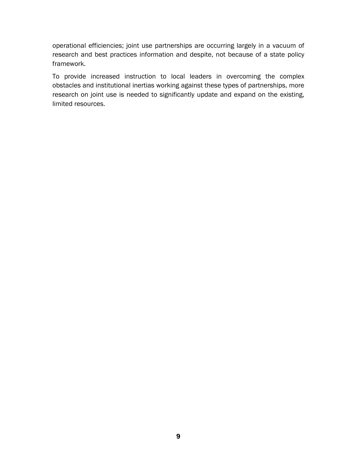operational efficiencies; joint use partnerships are occurring largely in a vacuum of research and best practices information and despite, not because of a state policy framework.

To provide increased instruction to local leaders in overcoming the complex obstacles and institutional inertias working against these types of partnerships, more research on joint use is needed to significantly update and expand on the existing, limited resources.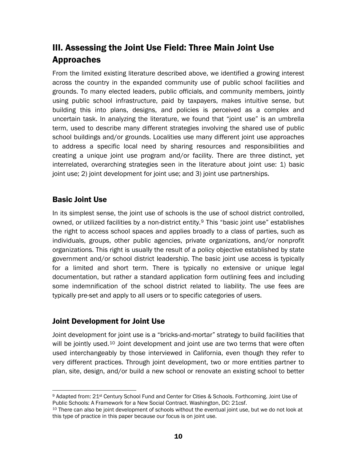# III. Assessing the Joint Use Field: Three Main Joint Use Approaches

From the limited existing literature described above, we identified a growing interest across the country in the expanded community use of public school facilities and grounds. To many elected leaders, public officials, and community members, jointly using public school infrastructure, paid by taxpayers, makes intuitive sense, but building this into plans, designs, and policies is perceived as a complex and uncertain task. In analyzing the literature, we found that "joint use" is an umbrella term, used to describe many different strategies involving the shared use of public school buildings and/or grounds. Localities use many different joint use approaches to address a specific local need by sharing resources and responsibilities and creating a unique joint use program and/or facility. There are three distinct, yet interrelated, overarching strategies seen in the literature about joint use: 1) basic joint use; 2) joint development for joint use; and 3) joint use partnerships.

# Basic Joint Use

In its simplest sense, the joint use of schools is the use of school district controlled, owned, or utilized facilities by a non-district entity.[9](#page-13-0) This "basic joint use" establishes the right to access school spaces and applies broadly to a class of parties, such as individuals, groups, other public agencies, private organizations, and/or nonprofit organizations. This right is usually the result of a policy objective established by state government and/or school district leadership. The basic joint use access is typically for a limited and short term. There is typically no extensive or unique legal documentation, but rather a standard application form outlining fees and including some indemnification of the school district related to liability. The use fees are typically pre-set and apply to all users or to specific categories of users.

# Joint Development for Joint Use

Joint development for joint use is a "bricks-and-mortar" strategy to build facilities that will be jointly used. $10$  Joint development and joint use are two terms that were often used interchangeably by those interviewed in California, even though they refer to very different practices. Through joint development, two or more entities partner to plan, site, design, and/or build a new school or renovate an existing school to better

<span id="page-13-0"></span> $\overline{a}$ <sup>9</sup> Adapted from: 21<sup>st</sup> Century School Fund and Center for Cities & Schools. Forthcoming. Joint Use of Public Schools: A Framework for a New Social Contract. Washington, DC: 21csf.

<span id="page-13-1"></span><sup>&</sup>lt;sup>10</sup> There can also be joint development of schools without the eventual joint use, but we do not look at this type of practice in this paper because our focus is on joint use.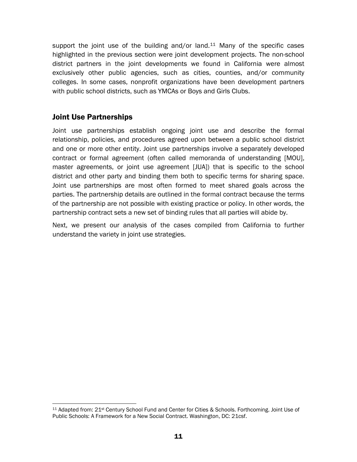support the joint use of the building and/or land. $11$  Many of the specific cases highlighted in the previous section were joint development projects. The non-school district partners in the joint developments we found in California were almost exclusively other public agencies, such as cities, counties, and/or community colleges. In some cases, nonprofit organizations have been development partners with public school districts, such as YMCAs or Boys and Girls Clubs.

# Joint Use Partnerships

Joint use partnerships establish ongoing joint use and describe the formal relationship, policies, and procedures agreed upon between a public school district and one or more other entity. Joint use partnerships involve a separately developed contract or formal agreement (often called memoranda of understanding [MOU], master agreements, or joint use agreement [JUA]) that is specific to the school district and other party and binding them both to specific terms for sharing space. Joint use partnerships are most often formed to meet shared goals across the parties. The partnership details are outlined in the formal contract because the terms of the partnership are not possible with existing practice or policy. In other words, the partnership contract sets a new set of binding rules that all parties will abide by.

Next, we present our analysis of the cases compiled from California to further understand the variety in joint use strategies.

<span id="page-14-0"></span> $\overline{a}$ 11 Adapted from: 21st Century School Fund and Center for Cities & Schools. Forthcoming. Joint Use of Public Schools: A Framework for a New Social Contract. Washington, DC: 21csf.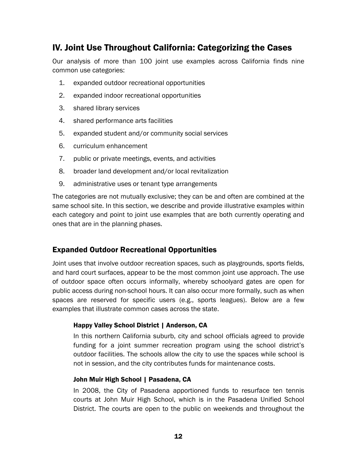# IV. Joint Use Throughout California: Categorizing the Cases

Our analysis of more than 100 joint use examples across California finds nine common use categories:

- 1. expanded outdoor recreational opportunities
- 2. expanded indoor recreational opportunities
- 3. shared library services
- 4. shared performance arts facilities
- 5. expanded student and/or community social services
- 6. curriculum enhancement
- 7. public or private meetings, events, and activities
- 8. broader land development and/or local revitalization
- 9. administrative uses or tenant type arrangements

The categories are not mutually exclusive; they can be and often are combined at the same school site. In this section, we describe and provide illustrative examples within each category and point to joint use examples that are both currently operating and ones that are in the planning phases.

# Expanded Outdoor Recreational Opportunities

Joint uses that involve outdoor recreation spaces, such as playgrounds, sports fields, and hard court surfaces, appear to be the most common joint use approach. The use of outdoor space often occurs informally, whereby schoolyard gates are open for public access during non-school hours. It can also occur more formally, such as when spaces are reserved for specific users (e.g., sports leagues). Below are a few examples that illustrate common cases across the state.

#### Happy Valley School District | Anderson, CA

In this northern California suburb, city and school officials agreed to provide funding for a joint summer recreation program using the school district's outdoor facilities. The schools allow the city to use the spaces while school is not in session, and the city contributes funds for maintenance costs.

### John Muir High School | Pasadena, CA

In 2008, the City of Pasadena apportioned funds to resurface ten tennis courts at John Muir High School, which is in the Pasadena Unified School District. The courts are open to the public on weekends and throughout the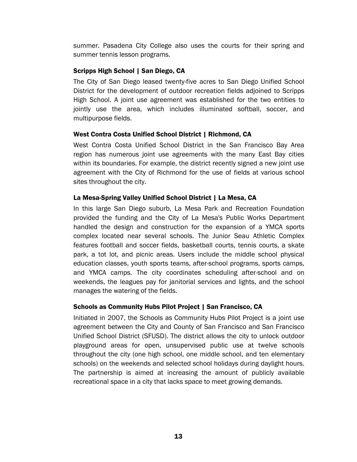summer. Pasadena City College also uses the courts for their spring and summer tennis lesson programs.

### Scripps High School | San Diego, CA

The City of San Diego leased twenty-five acres to San Diego Unified School District for the development of outdoor recreation fields adjoined to Scripps High School. A joint use agreement was established for the two entities to jointly use the area, which includes illuminated softball, soccer, and multipurpose fields.

### West Contra Costa Unified School District | Richmond, CA

West Contra Costa Unified School District in the San Francisco Bay Area region has numerous joint use agreements with the many East Bay cities within its boundaries. For example, the district recently signed a new joint use agreement with the City of Richmond for the use of fields at various school sites throughout the city.

# La Mesa-Spring Valley Unified School District | La Mesa, CA

In this large San Diego suburb, La Mesa Park and Recreation Foundation provided the funding and the City of La Mesa's Public Works Department handled the design and construction for the expansion of a YMCA sports complex located near several schools. The Junior Seau Athletic Complex features football and soccer fields, basketball courts, tennis courts, a skate park, a tot lot, and picnic areas. Users include the middle school physical education classes, youth sports teams, after-school programs, sports camps, and YMCA camps. The city coordinates scheduling after-school and on weekends, the leagues pay for janitorial services and lights, and the school manages the watering of the fields.

### Schools as Community Hubs Pilot Project | San Francisco, CA

Initiated in 2007, the Schools as Community Hubs Pilot Project is a joint use agreement between the City and County of San Francisco and San Francisco Unified School District (SFUSD). The district allows the city to unlock outdoor playground areas for open, unsupervised public use at twelve schools throughout the city (one high school, one middle school, and ten elementary schools) on the weekends and selected school holidays during daylight hours. The partnership is aimed at increasing the amount of publicly available recreational space in a city that lacks space to meet growing demands.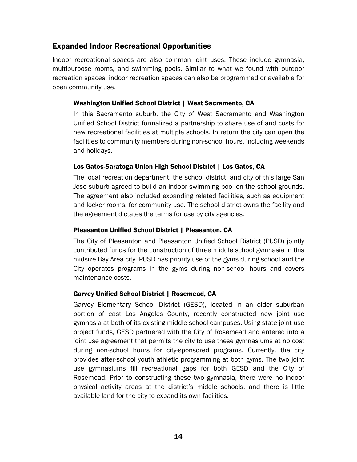# Expanded Indoor Recreational Opportunities

Indoor recreational spaces are also common joint uses. These include gymnasia, multipurpose rooms, and swimming pools. Similar to what we found with outdoor recreation spaces, indoor recreation spaces can also be programmed or available for open community use.

#### Washington Unified School District | West Sacramento, CA

In this Sacramento suburb, the City of West Sacramento and Washington Unified School District formalized a partnership to share use of and costs for new recreational facilities at multiple schools. In return the city can open the facilities to community members during non-school hours, including weekends and holidays.

### Los Gatos-Saratoga Union High School District | Los Gatos, CA

The local recreation department, the school district, and city of this large San Jose suburb agreed to build an indoor swimming pool on the school grounds. The agreement also included expanding related facilities, such as equipment and locker rooms, for community use. The school district owns the facility and the agreement dictates the terms for use by city agencies.

#### Pleasanton Unified School District | Pleasanton, CA

The City of Pleasanton and Pleasanton Unified School District (PUSD) jointly contributed funds for the construction of three middle school gymnasia in this midsize Bay Area city. PUSD has priority use of the gyms during school and the City operates programs in the gyms during non-school hours and covers maintenance costs.

### Garvey Unified School District | Rosemead, CA

Garvey Elementary School District (GESD), located in an older suburban portion of east Los Angeles County, recently constructed new joint use gymnasia at both of its existing middle school campuses. Using state joint use project funds, GESD partnered with the City of Rosemead and entered into a joint use agreement that permits the city to use these gymnasiums at no cost during non-school hours for city-sponsored programs. Currently, the city provides after-school youth athletic programming at both gyms. The two joint use gymnasiums fill recreational gaps for both GESD and the City of Rosemead. Prior to constructing these two gymnasia, there were no indoor physical activity areas at the district's middle schools, and there is little available land for the city to expand its own facilities.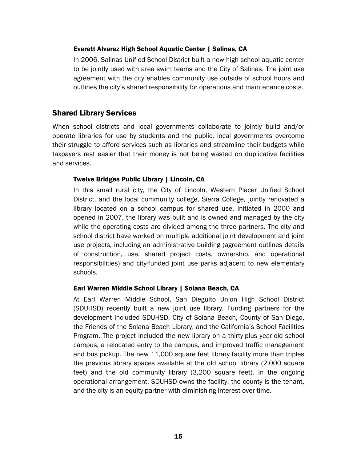#### Everett Alvarez High School Aquatic Center | Salinas, CA

In 2006, Salinas Unified School District built a new high school aquatic center to be jointly used with area swim teams and the City of Salinas. The joint use agreement with the city enables community use outside of school hours and outlines the city's shared responsibility for operations and maintenance costs.

# Shared Library Services

When school districts and local governments collaborate to jointly build and/or operate libraries for use by students and the public, local governments overcome their struggle to afford services such as libraries and streamline their budgets while taxpayers rest easier that their money is not being wasted on duplicative facilities and services.

#### Twelve Bridges Public Library | Lincoln, CA

In this small rural city, the City of Lincoln, Western Placer Unified School District, and the local community college, Sierra College, jointly renovated a library located on a school campus for shared use. Initiated in 2000 and opened in 2007, the library was built and is owned and managed by the city while the operating costs are divided among the three partners. The city and school district have worked on multiple additional joint development and joint use projects, including an administrative building (agreement outlines details of construction, use, shared project costs, ownership, and operational responsibilities) and city-funded joint use parks adjacent to new elementary schools.

#### Earl Warren Middle School Library | Solana Beach, CA

At Earl Warren Middle School, San Dieguito Union High School District (SDUHSD) recently built a new joint use library. Funding partners for the development included SDUHSD, City of Solana Beach, County of San Diego, the Friends of the Solana Beach Library, and the California's School Facilities Program. The project included the new library on a thirty-plus year-old school campus, a relocated entry to the campus, and improved traffic management and bus pickup. The new 11,000 square feet library facility more than triples the previous library spaces available at the old school library (2,000 square feet) and the old community library (3,200 square feet). In the ongoing operational arrangement, SDUHSD owns the facility, the county is the tenant, and the city is an equity partner with diminishing interest over time.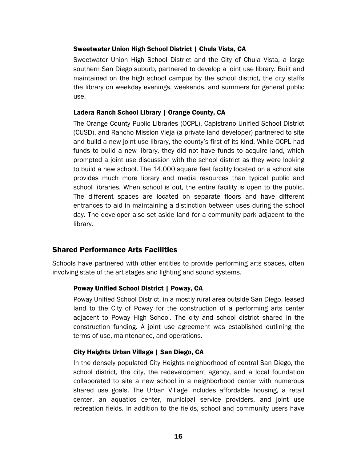#### Sweetwater Union High School District | Chula Vista, CA

Sweetwater Union High School District and the City of Chula Vista, a large southern San Diego suburb, partnered to develop a joint use library. Built and maintained on the high school campus by the school district, the city staffs the library on weekday evenings, weekends, and summers for general public use.

#### Ladera Ranch School Library | Orange County, CA

The Orange County Public Libraries (OCPL), Capistrano Unified School District (CUSD), and Rancho Mission Vieja (a private land developer) partnered to site and build a new joint use library, the county's first of its kind. While OCPL had funds to build a new library, they did not have funds to acquire land, which prompted a joint use discussion with the school district as they were looking to build a new school. The 14,000 square feet facility located on a school site provides much more library and media resources than typical public and school libraries. When school is out, the entire facility is open to the public. The different spaces are located on separate floors and have different entrances to aid in maintaining a distinction between uses during the school day. The developer also set aside land for a community park adjacent to the library.

# Shared Performance Arts Facilities

Schools have partnered with other entities to provide performing arts spaces, often involving state of the art stages and lighting and sound systems.

### Poway Unified School District | Poway, CA

Poway Unified School District, in a mostly rural area outside San Diego, leased land to the City of Poway for the construction of a performing arts center adjacent to Poway High School. The city and school district shared in the construction funding. A joint use agreement was established outlining the terms of use, maintenance, and operations.

### City Heights Urban Village | San Diego, CA

In the densely populated City Heights neighborhood of central San Diego, the school district, the city, the redevelopment agency, and a local foundation collaborated to site a new school in a neighborhood center with numerous shared use goals. The Urban Village includes affordable housing, a retail center, an aquatics center, municipal service providers, and joint use recreation fields. In addition to the fields, school and community users have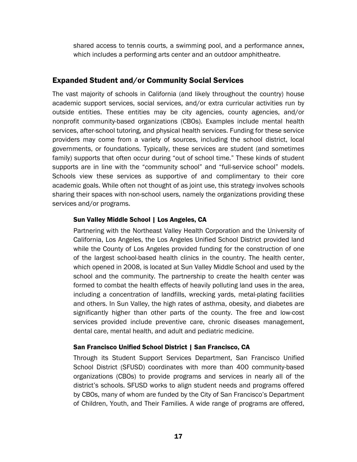shared access to tennis courts, a swimming pool, and a performance annex, which includes a performing arts center and an outdoor amphitheatre.

# Expanded Student and/or Community Social Services

The vast majority of schools in California (and likely throughout the country) house academic support services, social services, and/or extra curricular activities run by outside entities. These entities may be city agencies, county agencies, and/or nonprofit community-based organizations (CBOs). Examples include mental health services, after-school tutoring, and physical health services. Funding for these service providers may come from a variety of sources, including the school district, local governments, or foundations. Typically, these services are student (and sometimes family) supports that often occur during "out of school time." These kinds of student supports are in line with the "community school" and "full-service school" models. Schools view these services as supportive of and complimentary to their core academic goals. While often not thought of as joint use, this strategy involves schools sharing their spaces with non-school users, namely the organizations providing these services and/or programs.

# Sun Valley Middle School | Los Angeles, CA

Partnering with the Northeast Valley Health Corporation and the University of California, Los Angeles, the Los Angeles Unified School District provided land while the County of Los Angeles provided funding for the construction of one of the largest school-based health clinics in the country. The health center, which opened in 2008, is located at Sun Valley Middle School and used by the school and the community. The partnership to create the health center was formed to combat the health effects of heavily polluting land uses in the area, including a concentration of landfills, wrecking yards, metal-plating facilities and others. In Sun Valley, the high rates of asthma, obesity, and diabetes are significantly higher than other parts of the county. The free and low-cost services provided include preventive care, chronic diseases management, dental care, mental health, and adult and pediatric medicine.

# San Francisco Unified School District | San Francisco, CA

Through its Student Support Services Department, San Francisco Unified School District (SFUSD) coordinates with more than 400 community-based organizations (CBOs) to provide programs and services in nearly all of the district's schools. SFUSD works to align student needs and programs offered by CBOs, many of whom are funded by the City of San Francisco's Department of Children, Youth, and Their Families. A wide range of programs are offered,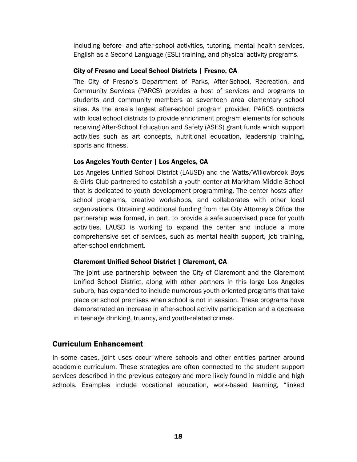including before- and after-school activities, tutoring, mental health services, English as a Second Language (ESL) training, and physical activity programs.

### City of Fresno and Local School Districts | Fresno, CA

The City of Fresno's Department of Parks, After-School, Recreation, and Community Services (PARCS) provides a host of services and programs to students and community members at seventeen area elementary school sites. As the area's largest after-school program provider, PARCS contracts with local school districts to provide enrichment program elements for schools receiving After-School Education and Safety (ASES) grant funds which support activities such as art concepts, nutritional education, leadership training, sports and fitness.

# Los Angeles Youth Center | Los Angeles, CA

Los Angeles Unified School District (LAUSD) and the Watts/Willowbrook Boys & Girls Club partnered to establish a youth center at Markham Middle School that is dedicated to youth development programming. The center hosts afterschool programs, creative workshops, and collaborates with other local organizations. Obtaining additional funding from the City Attorney's Office the partnership was formed, in part, to provide a safe supervised place for youth activities. LAUSD is working to expand the center and include a more comprehensive set of services, such as mental health support, job training, after-school enrichment.

# Claremont Unified School District | Claremont, CA

The joint use partnership between the City of Claremont and the Claremont Unified School District, along with other partners in this large Los Angeles suburb, has expanded to include numerous youth-oriented programs that take place on school premises when school is not in session. These programs have demonstrated an increase in after-school activity participation and a decrease in teenage drinking, truancy, and youth-related crimes.

# Curriculum Enhancement

In some cases, joint uses occur where schools and other entities partner around academic curriculum. These strategies are often connected to the student support services described in the previous category and more likely found in middle and high schools. Examples include vocational education, work-based learning, "linked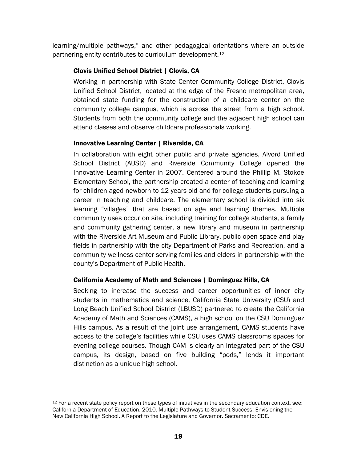learning/multiple pathways," and other pedagogical orientations where an outside partnering entity contributes to curriculum development.[12](#page-22-0)

# Clovis Unified School District | Clovis, CA

Working in partnership with State Center Community College District, Clovis Unified School District, located at the edge of the Fresno metropolitan area, obtained state funding for the construction of a childcare center on the community college campus, which is across the street from a high school. Students from both the community college and the adjacent high school can attend classes and observe childcare professionals working.

# Innovative Learning Center | Riverside, CA

In collaboration with eight other public and private agencies, Alvord Unified School District (AUSD) and Riverside Community College opened the Innovative Learning Center in 2007. Centered around the Phillip M. Stokoe Elementary School, the partnership created a center of teaching and learning for children aged newborn to 12 years old and for college students pursuing a career in teaching and childcare. The elementary school is divided into six learning "villages" that are based on age and learning themes. Multiple community uses occur on site, including training for college students, a family and community gathering center, a new library and museum in partnership with the Riverside Art Museum and Public Library, public open space and play fields in partnership with the city Department of Parks and Recreation, and a community wellness center serving families and elders in partnership with the county's Department of Public Health.

# California Academy of Math and Sciences | Dominguez Hills, CA

Seeking to increase the success and career opportunities of inner city students in mathematics and science, California State University (CSU) and Long Beach Unified School District (LBUSD) partnered to create the California Academy of Math and Sciences (CAMS), a high school on the CSU Dominguez Hills campus. As a result of the joint use arrangement, CAMS students have access to the college's facilities while CSU uses CAMS classrooms spaces for evening college courses. Though CAM is clearly an integrated part of the CSU campus, its design, based on five building "pods," lends it important distinction as a unique high school.

<span id="page-22-0"></span><sup>1</sup>  $12$  For a recent state policy report on these types of initiatives in the secondary education context, see: California Department of Education. 2010. Multiple Pathways to Student Success: Envisioning the New California High School. A Report to the Legislature and Governor. Sacramento: CDE.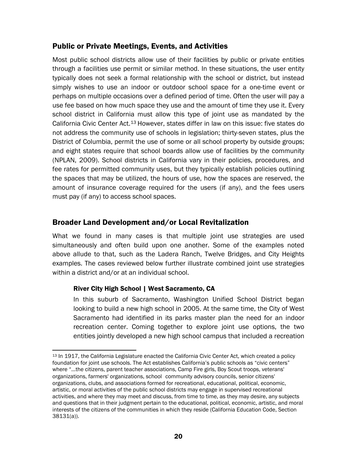# Public or Private Meetings, Events, and Activities

Most public school districts allow use of their facilities by public or private entities through a facilities use permit or similar method. In these situations, the user entity typically does not seek a formal relationship with the school or district, but instead simply wishes to use an indoor or outdoor school space for a one-time event or perhaps on multiple occasions over a defined period of time. Often the user will pay a use fee based on how much space they use and the amount of time they use it. Every school district in California must allow this type of joint use as mandated by the California Civic Center Act.[13](#page-23-0) However, states differ in law on this issue: five states do not address the community use of schools in legislation; thirty-seven states, plus the District of Columbia, permit the use of some or all school property by outside groups; and eight states require that school boards allow use of facilities by the community (NPLAN, 2009). School districts in California vary in their policies, procedures, and fee rates for permitted community uses, but they typically establish policies outlining the spaces that may be utilized, the hours of use, how the spaces are reserved, the amount of insurance coverage required for the users (if any), and the fees users must pay (if any) to access school spaces.

# Broader Land Development and/or Local Revitalization

What we found in many cases is that multiple joint use strategies are used simultaneously and often build upon one another. Some of the examples noted above allude to that, such as the Ladera Ranch, Twelve Bridges, and City Heights examples. The cases reviewed below further illustrate combined joint use strategies within a district and/or at an individual school.

### River City High School | West Sacramento, CA

In this suburb of Sacramento, Washington Unified School District began looking to build a new high school in 2005. At the same time, the City of West Sacramento had identified in its parks master plan the need for an indoor recreation center. Coming together to explore joint use options, the two entities jointly developed a new high school campus that included a recreation

<span id="page-23-0"></span> $\overline{a}$ 13 In 1917, the California Legislature enacted the California Civic Center Act, which created a policy foundation for joint use schools. The Act establishes California's public schools as "civic centers" where "…the citizens, parent teacher associations, Camp Fire girls, Boy Scout troops, veterans' organizations, farmers' organizations, school community advisory councils, senior citizens' organizations, clubs, and associations formed for recreational, educational, political, economic, artistic, or moral activities of the public school districts may engage in supervised recreational activities, and where they may meet and discuss, from time to time, as they may desire, any subjects and questions that in their judgment pertain to the educational, political, economic, artistic, and moral interests of the citizens of the communities in which they reside (California Education Code, Section 38131(a)).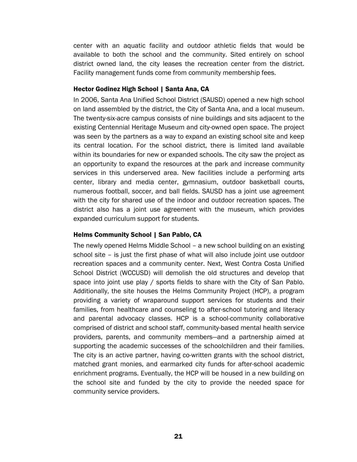center with an aquatic facility and outdoor athletic fields that would be available to both the school and the community. Sited entirely on school district owned land, the city leases the recreation center from the district. Facility management funds come from community membership fees.

#### Hector Godinez High School | Santa Ana, CA

In 2006, Santa Ana Unified School District (SAUSD) opened a new high school on land assembled by the district, the City of Santa Ana, and a local museum. The twenty-six-acre campus consists of nine buildings and sits adjacent to the existing Centennial Heritage Museum and city-owned open space. The project was seen by the partners as a way to expand an existing school site and keep its central location. For the school district, there is limited land available within its boundaries for new or expanded schools. The city saw the project as an opportunity to expand the resources at the park and increase community services in this underserved area. New facilities include a performing arts center, library and media center, gymnasium, outdoor basketball courts, numerous football, soccer, and ball fields. SAUSD has a joint use agreement with the city for shared use of the indoor and outdoor recreation spaces. The district also has a joint use agreement with the museum, which provides expanded curriculum support for students.

#### Helms Community School | San Pablo, CA

The newly opened Helms Middle School – a new school building on an existing school site – is just the first phase of what will also include joint use outdoor recreation spaces and a community center. Next, West Contra Costa Unified School District (WCCUSD) will demolish the old structures and develop that space into joint use play / sports fields to share with the City of San Pablo. Additionally, the site houses the Helms Community Project (HCP), a program providing a variety of wraparound support services for students and their families, from healthcare and counseling to after-school tutoring and literacy and parental advocacy classes. HCP is a school-community collaborative comprised of district and school staff, community-based mental health service providers, parents, and community members—and a partnership aimed at supporting the academic successes of the schoolchildren and their families. The city is an active partner, having co-written grants with the school district, matched grant monies, and earmarked city funds for after-school academic enrichment programs. Eventually, the HCP will be housed in a new building on the school site and funded by the city to provide the needed space for community service providers.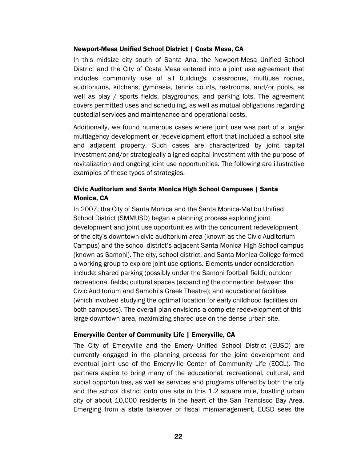#### Newport-Mesa Unified School District | Costa Mesa, CA

In this midsize city south of Santa Ana, the Newport-Mesa Unified School District and the City of Costa Mesa entered into a joint use agreement that includes community use of all buildings, classrooms, multiuse rooms, auditoriums, kitchens, gymnasia, tennis courts, restrooms, and/or pools, as well as play / sports fields, playgrounds, and parking lots. The agreement covers permitted uses and scheduling, as well as mutual obligations regarding custodial services and maintenance and operational costs.

Additionally, we found numerous cases where joint use was part of a larger multiagency development or redevelopment effort that included a school site and adjacent property. Such cases are characterized by joint capital investment and/or strategically aligned capital investment with the purpose of revitalization and ongoing joint use opportunities. The following are illustrative examples of these types of strategies.

### Civic Auditorium and Santa Monica High School Campuses | Santa Monica, CA

In 2007, the City of Santa Monica and the Santa Monica-Malibu Unified School District (SMMUSD) began a planning process exploring joint development and joint use opportunities with the concurrent redevelopment of the city's downtown civic auditorium area (known as the Civic Auditorium Campus) and the school district's adjacent Santa Monica High School campus (known as Samohi). The city, school district, and Santa Monica College formed a working group to explore joint use options. Elements under consideration include: shared parking (possibly under the Samohi football field); outdoor recreational fields; cultural spaces (expanding the connection between the Civic Auditorium and Samohi's Greek Theatre); and educational facilities (which involved studying the optimal location for early childhood facilities on both campuses). The overall plan envisions a complete redevelopment of this large downtown area, maximizing shared use on the dense urban site.

#### Emeryville Center of Community Life | Emeryville, CA

The City of Emeryville and the Emery Unified School District (EUSD) are currently engaged in the planning process for the joint development and eventual joint use of the Emeryville Center of Community Life (ECCL). The partners aspire to bring many of the educational, recreational, cultural, and social opportunities, as well as services and programs offered by both the city and the school district onto one site in this 1.2 square mile, bustling urban city of about 10,000 residents in the heart of the San Francisco Bay Area. Emerging from a state takeover of fiscal mismanagement, EUSD sees the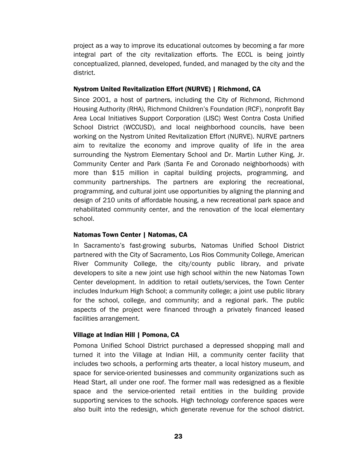project as a way to improve its educational outcomes by becoming a far more integral part of the city revitalization efforts. The ECCL is being jointly conceptualized, planned, developed, funded, and managed by the city and the district.

### Nystrom United Revitalization Effort (NURVE) | Richmond, CA

Since 2001, a host of partners, including the City of Richmond, Richmond Housing Authority (RHA), Richmond Children's Foundation (RCF), nonprofit Bay Area Local Initiatives Support Corporation (LISC) West Contra Costa Unified School District (WCCUSD), and local neighborhood councils, have been working on the Nystrom United Revitalization Effort (NURVE). NURVE partners aim to revitalize the economy and improve quality of life in the area surrounding the Nystrom Elementary School and Dr. Martin Luther King, Jr. Community Center and Park (Santa Fe and Coronado neighborhoods) with more than \$15 million in capital building projects, programming, and community partnerships. The partners are exploring the recreational, programming, and cultural joint use opportunities by aligning the planning and design of 210 units of affordable housing, a new recreational park space and rehabilitated community center, and the renovation of the local elementary school.

### Natomas Town Center | Natomas, CA

In Sacramento's fast-growing suburbs, Natomas Unified School District partnered with the City of Sacramento, Los Rios Community College, American River Community College, the city/county public library, and private developers to site a new joint use high school within the new Natomas Town Center development. In addition to retail outlets/services, the Town Center includes Indurkum High School; a community college; a joint use public library for the school, college, and community; and a regional park. The public aspects of the project were financed through a privately financed leased facilities arrangement.

# Village at Indian Hill | Pomona, CA

Pomona Unified School District purchased a depressed shopping mall and turned it into the Village at Indian Hill, a community center facility that includes two schools, a performing arts theater, a local history museum, and space for service-oriented businesses and community organizations such as Head Start, all under one roof. The former mall was redesigned as a flexible space and the service-oriented retail entities in the building provide supporting services to the schools. High technology conference spaces were also built into the redesign, which generate revenue for the school district.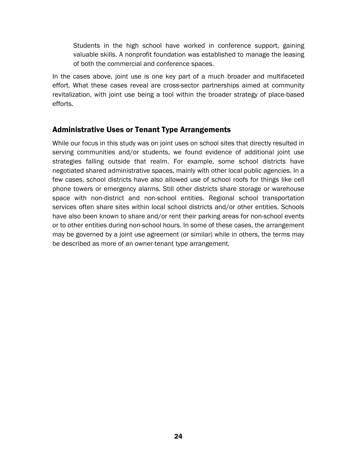Students in the high school have worked in conference support, gaining valuable skills. A nonprofit foundation was established to manage the leasing of both the commercial and conference spaces.

In the cases above, joint use is one key part of a much broader and multifaceted effort. What these cases reveal are cross-sector partnerships aimed at community revitalization, with joint use being a tool within the broader strategy of place-based efforts.

# Administrative Uses or Tenant Type Arrangements

While our focus in this study was on joint uses on school sites that directly resulted in serving communities and/or students, we found evidence of additional joint use strategies falling outside that realm. For example, some school districts have negotiated shared administrative spaces, mainly with other local public agencies. In a few cases, school districts have also allowed use of school roofs for things like cell phone towers or emergency alarms. Still other districts share storage or warehouse space with non-district and non-school entities. Regional school transportation services often share sites within local school districts and/or other entities. Schools have also been known to share and/or rent their parking areas for non-school events or to other entities during non-school hours. In some of these cases, the arrangement may be governed by a joint use agreement (or similar) while in others, the terms may be described as more of an owner-tenant type arrangement.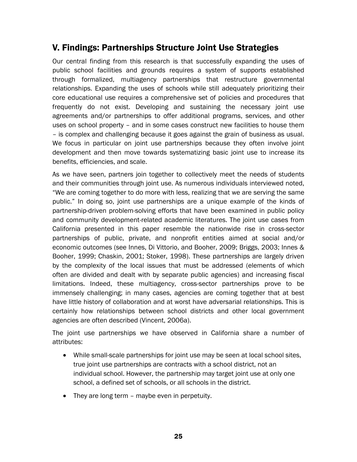# V. Findings: Partnerships Structure Joint Use Strategies

Our central finding from this research is that successfully expanding the uses of public school facilities and grounds requires a system of supports established through formalized, multiagency partnerships that restructure governmental relationships. Expanding the uses of schools while still adequately prioritizing their core educational use requires a comprehensive set of policies and procedures that frequently do not exist. Developing and sustaining the necessary joint use agreements and/or partnerships to offer additional programs, services, and other uses on school property – and in some cases construct new facilities to house them – is complex and challenging because it goes against the grain of business as usual. We focus in particular on joint use partnerships because they often involve joint development and then move towards systematizing basic joint use to increase its benefits, efficiencies, and scale.

As we have seen, partners join together to collectively meet the needs of students and their communities through joint use. As numerous individuals interviewed noted, "We are coming together to do more with less, realizing that we are serving the same public." In doing so, joint use partnerships are a unique example of the kinds of partnership-driven problem-solving efforts that have been examined in public policy and community development-related academic literatures. The joint use cases from California presented in this paper resemble the nationwide rise in cross-sector partnerships of public, private, and nonprofit entities aimed at social and/or economic outcomes (see Innes, Di Vittorio, and Booher, 2009; Briggs, 2003; Innes & Booher, 1999; Chaskin, 2001; Stoker, 1998). These partnerships are largely driven by the complexity of the local issues that must be addressed (elements of which often are divided and dealt with by separate public agencies) and increasing fiscal limitations. Indeed, these multiagency, cross-sector partnerships prove to be immensely challenging; in many cases, agencies are coming together that at best have little history of collaboration and at worst have adversarial relationships. This is certainly how relationships between school districts and other local government agencies are often described (Vincent, 2006a).

The joint use partnerships we have observed in California share a number of attributes:

- While small-scale partnerships for joint use may be seen at local school sites, true joint use partnerships are contracts with a school district, not an individual school. However, the partnership may target joint use at only one school, a defined set of schools, or all schools in the district.
- They are long term maybe even in perpetuity.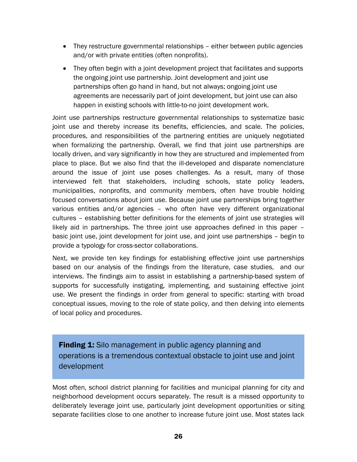- They restructure governmental relationships either between public agencies and/or with private entities (often nonprofits).
- They often begin with a joint development project that facilitates and supports the ongoing joint use partnership. Joint development and joint use partnerships often go hand in hand, but not always; ongoing joint use agreements are necessarily part of joint development, but joint use can also happen in existing schools with little-to-no joint development work.

Joint use partnerships restructure governmental relationships to systematize basic joint use and thereby increase its benefits, efficiencies, and scale. The policies, procedures, and responsibilities of the partnering entities are uniquely negotiated when formalizing the partnership. Overall, we find that joint use partnerships are locally driven, and vary significantly in how they are structured and implemented from place to place. But we also find that the ill-developed and disparate nomenclature around the issue of joint use poses challenges. As a result, many of those interviewed felt that stakeholders, including schools, state policy leaders, municipalities, nonprofits, and community members, often have trouble holding focused conversations about joint use. Because joint use partnerships bring together various entities and/or agencies – who often have very different organizational cultures – establishing better definitions for the elements of joint use strategies will likely aid in partnerships. The three joint use approaches defined in this paper – basic joint use, joint development for joint use, and joint use partnerships – begin to provide a typology for cross-sector collaborations.

Next, we provide ten key findings for establishing effective joint use partnerships based on our analysis of the findings from the literature, case studies, and our interviews. The findings aim to assist in establishing a partnership-based system of supports for successfully instigating, implementing, and sustaining effective joint use. We present the findings in order from general to specific: starting with broad conceptual issues, moving to the role of state policy, and then delving into elements of local policy and procedures.

**Finding 1:** Silo management in public agency planning and operations is a tremendous contextual obstacle to joint use and joint development

Most often, school district planning for facilities and municipal planning for city and neighborhood development occurs separately. The result is a missed opportunity to deliberately leverage joint use, particularly joint development opportunities or siting separate facilities close to one another to increase future joint use. Most states lack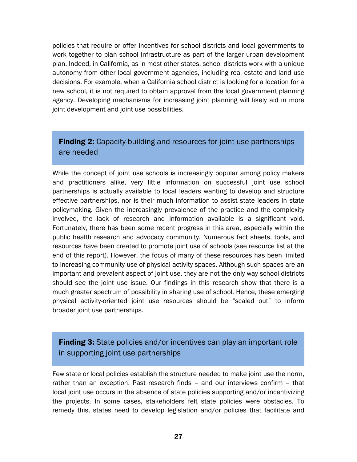policies that require or offer incentives for school districts and local governments to work together to plan school infrastructure as part of the larger urban development plan. Indeed, in California, as in most other states, school districts work with a unique autonomy from other local government agencies, including real estate and land use decisions. For example, when a California school district is looking for a location for a new school, it is not required to obtain approval from the local government planning agency. Developing mechanisms for increasing joint planning will likely aid in more joint development and joint use possibilities.

# **Finding 2:** Capacity-building and resources for joint use partnerships are needed

While the concept of joint use schools is increasingly popular among policy makers and practitioners alike, very little information on successful joint use school partnerships is actually available to local leaders wanting to develop and structure effective partnerships, nor is their much information to assist state leaders in state policymaking. Given the increasingly prevalence of the practice and the complexity involved, the lack of research and information available is a significant void. Fortunately, there has been some recent progress in this area, especially within the public health research and advocacy community. Numerous fact sheets, tools, and resources have been created to promote joint use of schools (see resource list at the end of this report). However, the focus of many of these resources has been limited to increasing community use of physical activity spaces. Although such spaces are an important and prevalent aspect of joint use, they are not the only way school districts should see the joint use issue. Our findings in this research show that there is a much greater spectrum of possibility in sharing use of school. Hence, these emerging physical activity-oriented joint use resources should be "scaled out" to inform broader joint use partnerships.

# **Finding 3:** State policies and/or incentives can play an important role in supporting joint use partnerships

Few state or local policies establish the structure needed to make joint use the norm, rather than an exception. Past research finds – and our interviews confirm – that local joint use occurs in the absence of state policies supporting and/or incentivizing the projects. In some cases, stakeholders felt state policies were obstacles. To remedy this, states need to develop legislation and/or policies that facilitate and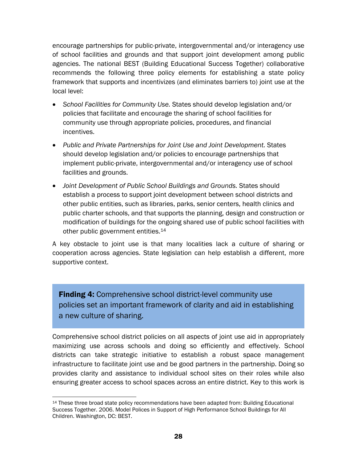encourage partnerships for public-private, intergovernmental and/or interagency use of school facilities and grounds and that support joint development among public agencies. The national BEST (Building Educational Success Together) collaborative recommends the following three policy elements for establishing a state policy framework that supports and incentivizes (and eliminates barriers to) joint use at the local level:

- *School Facilities for Community Use.* States should develop legislation and/or policies that facilitate and encourage the sharing of school facilities for community use through appropriate policies, procedures, and financial incentives.
- *Public and Private Partnerships for Joint Use and Joint Development.* States should develop legislation and/or policies to encourage partnerships that implement public-private, intergovernmental and/or interagency use of school facilities and grounds.
- *Joint Development of Public School Buildings and Grounds. States should* establish a process to support joint development between school districts and other public entities, such as libraries, parks, senior centers, health clinics and public charter schools, and that supports the planning, design and construction or modification of buildings for the ongoing shared use of public school facilities with other public government entities.<sup>14</sup>

A key obstacle to joint use is that many localities lack a culture of sharing or cooperation across agencies. State legislation can help establish a different, more supportive context.

**Finding 4:** Comprehensive school district-level community use policies set an important framework of clarity and aid in establishing a new culture of sharing.

Comprehensive school district policies on all aspects of joint use aid in appropriately maximizing use across schools and doing so efficiently and effectively. School districts can take strategic initiative to establish a robust space management infrastructure to facilitate joint use and be good partners in the partnership. Doing so provides clarity and assistance to individual school sites on their roles while also ensuring greater access to school spaces across an entire district. Key to this work is

<span id="page-31-0"></span> $\overline{a}$ <sup>14</sup> These three broad state policy recommendations have been adapted from: Building Educational Success Together. 2006. Model Polices in Support of High Performance School Buildings for All Children. Washington, DC: BEST.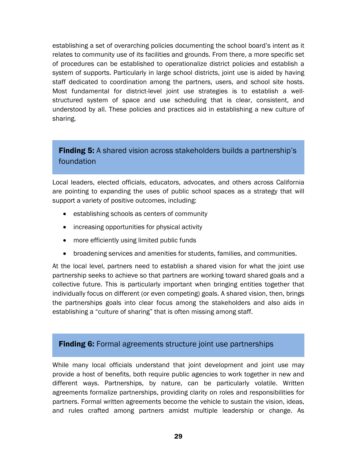establishing a set of overarching policies documenting the school board's intent as it relates to community use of its facilities and grounds. From there, a more specific set of procedures can be established to operationalize district policies and establish a system of supports. Particularly in large school districts, joint use is aided by having staff dedicated to coordination among the partners, users, and school site hosts. Most fundamental for district-level joint use strategies is to establish a wellstructured system of space and use scheduling that is clear, consistent, and understood by all. These policies and practices aid in establishing a new culture of sharing.

# **Finding 5:** A shared vision across stakeholders builds a partnership's foundation

Local leaders, elected officials, educators, advocates, and others across California are pointing to expanding the uses of public school spaces as a strategy that will support a variety of positive outcomes, including:

- establishing schools as centers of community
- increasing opportunities for physical activity
- more efficiently using limited public funds
- broadening services and amenities for students, families, and communities.

At the local level, partners need to establish a shared vision for what the joint use partnership seeks to achieve so that partners are working toward shared goals and a collective future. This is particularly important when bringing entities together that individually focus on different (or even competing) goals. A shared vision, then, brings the partnerships goals into clear focus among the stakeholders and also aids in establishing a "culture of sharing" that is often missing among staff.

# **Finding 6:** Formal agreements structure joint use partnerships

While many local officials understand that joint development and joint use may provide a host of benefits, both require public agencies to work together in new and different ways. Partnerships, by nature, can be particularly volatile. Written agreements formalize partnerships, providing clarity on roles and responsibilities for partners. Formal written agreements become the vehicle to sustain the vision, ideas, and rules crafted among partners amidst multiple leadership or change. As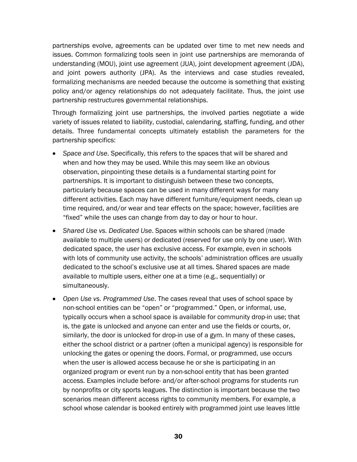partnerships evolve, agreements can be updated over time to met new needs and issues. Common formalizing tools seen in joint use partnerships are memoranda of understanding (MOU), joint use agreement (JUA), joint development agreement (JDA), and joint powers authority (JPA). As the interviews and case studies revealed, formalizing mechanisms are needed because the outcome is something that existing policy and/or agency relationships do not adequately facilitate. Thus, the joint use partnership restructures governmental relationships.

Through formalizing joint use partnerships, the involved parties negotiate a wide variety of issues related to liability, custodial, calendaring, staffing, funding, and other details. Three fundamental concepts ultimately establish the parameters for the partnership specifics:

- *Space and Use*. Specifically, this refers to the spaces that will be shared and when and how they may be used. While this may seem like an obvious observation, pinpointing these details is a fundamental starting point for partnerships. It is important to distinguish between these two concepts, particularly because spaces can be used in many different ways for many different activities. Each may have different furniture/equipment needs, clean up time required, and/or wear and tear effects on the space; however, facilities are "fixed" while the uses can change from day to day or hour to hour.
- *Shared Use vs. Dedicated Use*. Spaces within schools can be shared (made available to multiple users) or dedicated (reserved for use only by one user). With dedicated space, the user has exclusive access. For example, even in schools with lots of community use activity, the schools' administration offices are usually dedicated to the school's exclusive use at all times. Shared spaces are made available to multiple users, either one at a time (e.g., sequentially) or simultaneously.
- *Open Use vs. Programmed Use*. The cases reveal that uses of school space by non-school entities can be "open" or "programmed." Open, or informal, use, typically occurs when a school space is available for community drop-in use; that is, the gate is unlocked and anyone can enter and use the fields or courts, or, similarly, the door is unlocked for drop-in use of a gym. In many of these cases, either the school district or a partner (often a municipal agency) is responsible for unlocking the gates or opening the doors. Formal, or programmed, use occurs when the user is allowed access because he or she is participating in an organized program or event run by a non-school entity that has been granted access. Examples include before- and/or after-school programs for students run by nonprofits or city sports leagues. The distinction is important because the two scenarios mean different access rights to community members. For example, a school whose calendar is booked entirely with programmed joint use leaves little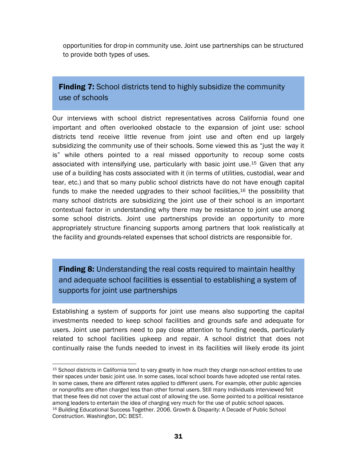opportunities for drop-in community use. Joint use partnerships can be structured to provide both types of uses.

**Finding 7:** School districts tend to highly subsidize the community use of schools

Our interviews with school district representatives across California found one important and often overlooked obstacle to the expansion of joint use: school districts tend receive little revenue from joint use and often end up largely subsidizing the community use of their schools. Some viewed this as "just the way it is" while others pointed to a real missed opportunity to recoup some costs associated with intensifying use, particularly with basic joint use.[15](#page-34-0) Given that any use of a building has costs associated with it (in terms of utilities, custodial, wear and tear, etc.) and that so many public school districts have do not have enough capital funds to make the needed upgrades to their school facilities,  $16$  the possibility that many school districts are subsidizing the joint use of their school is an important contextual factor in understanding why there may be resistance to joint use among some school districts. Joint use partnerships provide an opportunity to more appropriately structure financing supports among partners that look realistically at the facility and grounds-related expenses that school districts are responsible for.

**Finding 8:** Understanding the real costs required to maintain healthy and adequate school facilities is essential to establishing a system of supports for joint use partnerships

Establishing a system of supports for joint use means also supporting the capital investments needed to keep school facilities and grounds safe and adequate for users. Joint use partners need to pay close attention to funding needs, particularly related to school facilities upkeep and repair. A school district that does not continually raise the funds needed to invest in its facilities will likely erode its joint

<span id="page-34-1"></span><span id="page-34-0"></span><sup>1</sup> 15 School districts in California tend to vary greatly in how much they charge non-school entities to use their spaces under basic joint use. In some cases, local school boards have adopted use rental rates. In some cases, there are different rates applied to different users. For example, other public agencies or nonprofits are often charged less than other formal users. Still many individuals interviewed felt that these fees did not cover the actual cost of allowing the use. Some pointed to a political resistance among leaders to entertain the idea of charging very much for the use of public school spaces. 16 Building Educational Success Together. 2006. Growth & Disparity: A Decade of Public School Construction. Washington, DC: BEST.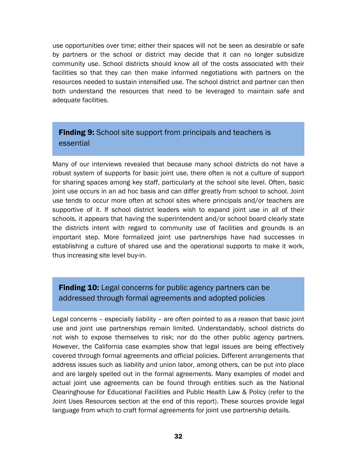use opportunities over time; either their spaces will not be seen as desirable or safe by partners or the school or district may decide that it can no longer subsidize community use. School districts should know all of the costs associated with their facilities so that they can then make informed negotiations with partners on the resources needed to sustain intensified use. The school district and partner can then both understand the resources that need to be leveraged to maintain safe and adequate facilities.

# **Finding 9:** School site support from principals and teachers is essential

Many of our interviews revealed that because many school districts do not have a robust system of supports for basic joint use, there often is not a culture of support for sharing spaces among key staff, particularly at the school site level. Often, basic joint use occurs in an ad hoc basis and can differ greatly from school to school. Joint use tends to occur more often at school sites where principals and/or teachers are supportive of it. If school district leaders wish to expand joint use in all of their schools, it appears that having the superintendent and/or school board clearly state the districts intent with regard to community use of facilities and grounds is an important step. More formalized joint use partnerships have had successes in establishing a culture of shared use and the operational supports to make it work, thus increasing site level buy-in.

# **Finding 10:** Legal concerns for public agency partners can be addressed through formal agreements and adopted policies

Legal concerns – especially liability – are often pointed to as a reason that basic joint use and joint use partnerships remain limited. Understandably, school districts do not wish to expose themselves to risk; nor do the other public agency partners. However, the California case examples show that legal issues are being effectively covered through formal agreements and official policies. Different arrangements that address issues such as liability and union labor, among others, can be put into place and are largely spelled out in the formal agreements. Many examples of model and actual joint use agreements can be found through entities such as the National Clearinghouse for Educational Facilities and Public Health Law & Policy (refer to the Joint Uses Resources section at the end of this report). These sources provide legal language from which to craft formal agreements for joint use partnership details.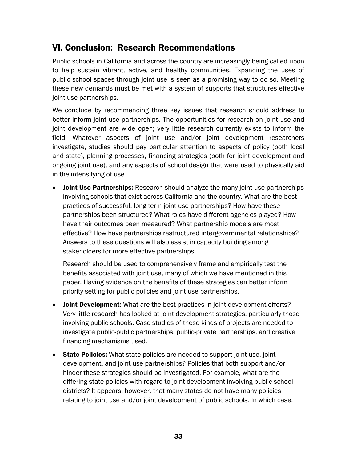# VI. Conclusion: Research Recommendations

Public schools in California and across the country are increasingly being called upon to help sustain vibrant, active, and healthy communities. Expanding the uses of public school spaces through joint use is seen as a promising way to do so. Meeting these new demands must be met with a system of supports that structures effective joint use partnerships.

We conclude by recommending three key issues that research should address to better inform joint use partnerships. The opportunities for research on joint use and joint development are wide open; very little research currently exists to inform the field. Whatever aspects of joint use and/or joint development researchers investigate, studies should pay particular attention to aspects of policy (both local and state), planning processes, financing strategies (both for joint development and ongoing joint use), and any aspects of school design that were used to physically aid in the intensifying of use.

• Joint Use Partnerships: Research should analyze the many joint use partnerships involving schools that exist across California and the country. What are the best practices of successful, long-term joint use partnerships? How have these partnerships been structured? What roles have different agencies played? How have their outcomes been measured? What partnership models are most effective? How have partnerships restructured intergovernmental relationships? Answers to these questions will also assist in capacity building among stakeholders for more effective partnerships.

Research should be used to comprehensively frame and empirically test the benefits associated with joint use, many of which we have mentioned in this paper. Having evidence on the benefits of these strategies can better inform priority setting for public policies and joint use partnerships.

- Joint Development: What are the best practices in joint development efforts? Very little research has looked at joint development strategies, particularly those involving public schools. Case studies of these kinds of projects are needed to investigate public-public partnerships, public-private partnerships, and creative financing mechanisms used.
- State Policies: What state policies are needed to support joint use, joint development, and joint use partnerships? Policies that both support and/or hinder these strategies should be investigated. For example, what are the differing state policies with regard to joint development involving public school districts? It appears, however, that many states do not have many policies relating to joint use and/or joint development of public schools. In which case,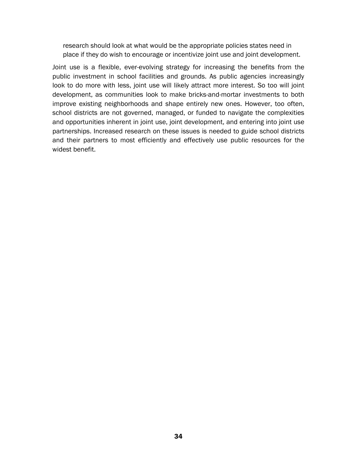research should look at what would be the appropriate policies states need in place if they do wish to encourage or incentivize joint use and joint development.

Joint use is a flexible, ever-evolving strategy for increasing the benefits from the public investment in school facilities and grounds. As public agencies increasingly look to do more with less, joint use will likely attract more interest. So too will joint development, as communities look to make bricks-and-mortar investments to both improve existing neighborhoods and shape entirely new ones. However, too often, school districts are not governed, managed, or funded to navigate the complexities and opportunities inherent in joint use, joint development, and entering into joint use partnerships. Increased research on these issues is needed to guide school districts and their partners to most efficiently and effectively use public resources for the widest benefit.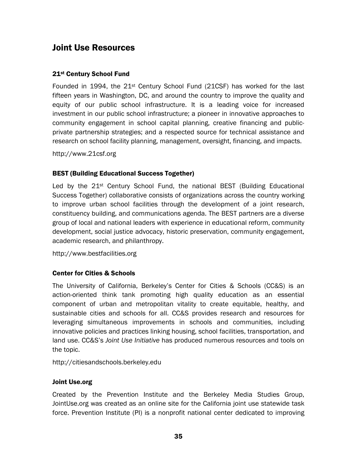# Joint Use Resources

### 21st Century School Fund

Founded in 1994, the  $21^{st}$  Century School Fund (21CSF) has worked for the last fifteen years in Washington, DC, and around the country to improve the quality and equity of our public school infrastructure. It is a leading voice for increased investment in our public school infrastructure; a pioneer in innovative approaches to community engagement in school capital planning, creative financing and publicprivate partnership strategies; and a respected source for technical assistance and research on school facility planning, management, oversight, financing, and impacts.

http://www.21csf.org

### BEST (Building Educational Success Together)

Led by the 21<sup>st</sup> Century School Fund, the national BEST (Building Educational Success Together) collaborative consists of organizations across the country working to improve urban school facilities through the development of a joint research, constituency building, and communications agenda. The BEST partners are a diverse group of local and national leaders with experience in educational reform, community development, social justice advocacy, historic preservation, community engagement, academic research, and philanthropy.

http://www.bestfacilities.org

### Center for Cities & Schools

The University of California, Berkeley's Center for Cities & Schools (CC&S) is an action-oriented think tank promoting high quality education as an essential component of urban and metropolitan vitality to create equitable, healthy, and sustainable cities and schools for all. CC&S provides research and resources for leveraging simultaneous improvements in schools and communities, including innovative policies and practices linking housing, school facilities, transportation, and land use. CC&S's *Joint Use Initiative* has produced numerous resources and tools on the topic.

http://citiesandschools.berkeley.edu

### Joint Use.org

Created by the Prevention Institute and the Berkeley Media Studies Group, JointUse.org was created as an online site for the California joint use statewide task force. Prevention Institute (PI) is a nonprofit national center dedicated to improving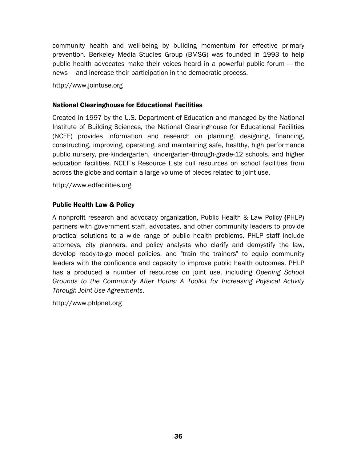community health and well-being by building momentum for effective primary prevention. Berkeley Media Studies Group (BMSG) was founded in 1993 to help public health advocates make their voices heard in a powerful public forum — the news — and increase their participation in the democratic process.

http://www.jointuse.org

### National Clearinghouse for Educational Facilities

Created in 1997 by the U.S. Department of Education and managed by the National Institute of Building Sciences, the National Clearinghouse for Educational Facilities (NCEF) provides information and research on planning, designing, financing, constructing, improving, operating, and maintaining safe, healthy, high performance public nursery, pre-kindergarten, kindergarten-through-grade-12 schools, and higher education facilities. NCEF's Resource Lists cull resources on school facilities from across the globe and contain a large volume of pieces related to joint use.

http://www.edfacilities.org

### Public Health Law & Policy

A nonprofit research and advocacy organization, Public Health & Law Policy (PHLP) partners with government staff, advocates, and other community leaders to provide practical solutions to a wide range of public health problems. PHLP staff include attorneys, city planners, and policy analysts who clarify and demystify the law, develop ready-to-go model policies, and "train the trainers" to equip community leaders with the confidence and capacity to improve public health outcomes. PHLP has a produced a number of resources on joint use, including *Opening School Grounds to the Community After Hours: A Toolkit for Increasing Physical Activity Through Joint Use Agreements*.

http://www.phlpnet.org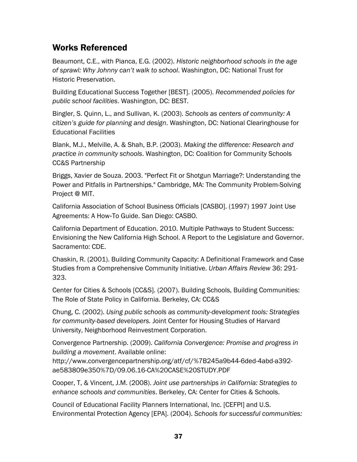# Works Referenced

Beaumont, C.E., with Pianca, E.G. (2002). *Historic neighborhood schools in the age of sprawl: Why Johnny can't walk to school*. Washington, DC: National Trust for Historic Preservation.

Building Educational Success Together [BEST]. (2005). *Recommended policies for public school facilities*. Washington, DC: BEST.

Bingler, S. Quinn, L., and Sullivan, K. (2003). *Schools as centers of community: A citizen's guide for planning and design*. Washington, DC: National Clearinghouse for Educational Facilities

Blank, M.J., Melville, A. & Shah, B.P. (2003). *Making the difference: Research and practice in community schools*. Washington, DC: Coalition for Community Schools CC&S Partnership

Briggs, Xavier de Souza. 2003. "Perfect Fit or Shotgun Marriage?: Understanding the Power and Pitfalls in Partnerships." Cambridge, MA: The Community Problem-Solving Project @ MIT.

California Association of School Business Officials [CASBO]. (1997) 1997 Joint Use Agreements: A How-To Guide. San Diego: CASBO.

California Department of Education. 2010. Multiple Pathways to Student Success: Envisioning the New California High School. A Report to the Legislature and Governor. Sacramento: CDE.

Chaskin, R. (2001). Building Community Capacity: A Definitional Framework and Case Studies from a Comprehensive Community Initiative. *Urban Affairs Review* 36: 291- 323.

Center for Cities & Schools [CC&S]. (2007). Building Schools, Building Communities: The Role of State Policy in California. Berkeley, CA: CC&S

Chung, C. (2002). *Using public schools as community-development tools: Strategies for community-based developers.* Joint Center for Housing Studies of Harvard University, Neighborhood Reinvestment Corporation.

Convergence Partnership. (2009). *California Convergence: Promise and progress in building a movement*. Available online:

http://www.convergencepartnership.org/atf/cf/%7B245a9b44-6ded-4abd-a392 ae583809e350%7D/09.06.16-CA%20CASE%20STUDY.PDF

Cooper, T, & Vincent, J.M. (2008). *Joint use partnerships in California: Strategies to enhance schools and communities*. Berkeley, CA: Center for Cities & Schools.

Council of Educational Facility Planners International, Inc. [CEFPI] and U.S. Environmental Protection Agency [EPA]. (2004). *Schools for successful communities:*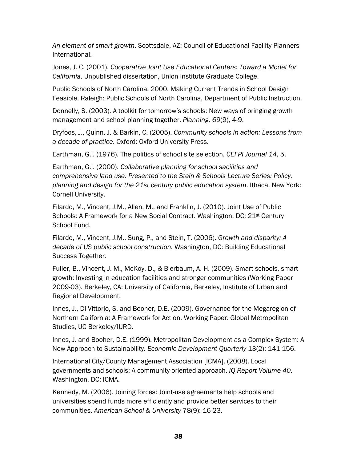*An element of smart growth*. Scottsdale, AZ: Council of Educational Facility Planners International.

Jones, J. C. (2001). *Cooperative Joint Use Educational Centers: Toward a Model for California*. Unpublished dissertation, Union Institute Graduate College.

Public Schools of North Carolina. 2000. Making Current Trends in School Design Feasible. Raleigh: Public Schools of North Carolina, Department of Public Instruction.

Donnelly, S. (2003). A toolkit for tomorrow's schools: New ways of bringing growth management and school planning together. *Planning, 69*(9), 4-9.

Dryfoos, J., Quinn, J. & Barkin, C. (2005). *Community schools in action: Lessons from a decade of practice*. Oxford: Oxford University Press.

Earthman, G.I. (1976). The politics of school site selection. *CEFPI Journal 14*, 5.

Earthman, G.I. (2000). *Collaborative planning for school sacilities and comprehensive land use. Presented to the Stein & Schools Lecture Series: Policy, planning and design for the 21st century public education system*. Ithaca, New York: Cornell University.

Filardo, M., Vincent, J.M., Allen, M., and Franklin, J. (2010). Joint Use of Public Schools: A Framework for a New Social Contract. Washington, DC: 21<sup>st</sup> Century School Fund.

Filardo, M., Vincent, J.M., Sung, P., and Stein, T. (2006). *Growth and disparity: A decade of US public school construction.* Washington, DC: Building Educational Success Together.

Fuller, B., Vincent, J. M., McKoy, D., & Bierbaum, A. H. (2009). Smart schools, smart growth: Investing in education facilities and stronger communities (Working Paper 2009-03). Berkeley, CA: University of California, Berkeley, Institute of Urban and Regional Development.

Innes, J., Di Vittorio, S. and Booher, D.E. (2009). Governance for the Megaregion of Northern California: A Framework for Action. Working Paper. Global Metropolitan Studies, UC Berkeley/IURD.

Innes, J. and Booher, D.E. (1999). Metropolitan Development as a Complex System: A New Approach to Sustainability. *Economic Development Quarterly* 13(2): 141-156.

International City/County Management Association [ICMA]. (2008). Local governments and schools: A community-oriented approach. *IQ Report Volume 40*. Washington, DC: ICMA.

Kennedy, M. (2006). Joining forces: Joint-use agreements help schools and universities spend funds more efficiently and provide better services to their communities. *American School & University* 78(9): 16-23.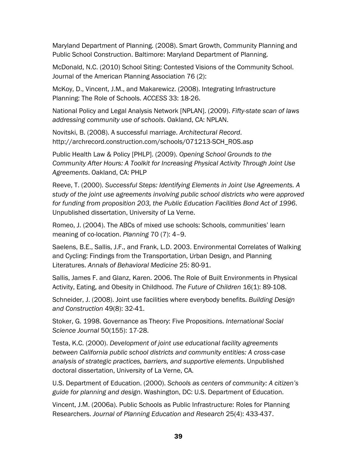Maryland Department of Planning. (2008). Smart Growth, Community Planning and Public School Construction. Baltimore: Maryland Department of Planning.

McDonald, N.C. (2010) School Siting: Contested Visions of the Community School. Journal of the American Planning Association 76 (2):

McKoy, D., Vincent, J.M., and Makarewicz. (2008). Integrating Infrastructure Planning: The Role of Schools. *ACCESS* 33: 18-26.

National Policy and Legal Analysis Network [NPLAN]. (2009). *Fifty-state scan of laws addressing community use of schools*. Oakland, CA: NPLAN.

Novitski, B. (2008). A successful marriage. *Architectural Record*. http://archrecord.construction.com/schools/071213-SCH\_ROS.asp

Public Health Law & Policy [PHLP]. (2009). *Opening School Grounds to the Community After Hours: A Toolkit for Increasing Physical Activity Through Joint Use Agreements*. Oakland, CA: PHLP

Reeve, T. (2000). *Successful Steps: Identifying Elements in Joint Use Agreements. A study of the joint use agreements involving public school districts who were approved for funding from proposition 203, the Public Education Facilities Bond Act of 1996*. Unpublished dissertation, University of La Verne.

Romeo, J. (2004). The ABCs of mixed use schools: Schools, communities' learn meaning of co-location. *Planning* 70 (7): 4–9.

Saelens, B.E., Sallis, J.F., and Frank, L.D. 2003. Environmental Correlates of Walking and Cycling: Findings from the Transportation, Urban Design, and Planning Literatures. *Annals of Behavioral Medicine* 25: 80-91.

Sallis, James F. and Glanz, Karen. 2006. The Role of Built Environments in Physical Activity, Eating, and Obesity in Childhood. *The Future of Children* 16(1): 89-108.

Schneider, J. (2008). Joint use facilities where everybody benefits. *Building Design and Construction* 49(8): 32-41.

Stoker, G. 1998. Governance as Theory: Five Propositions. *International Social Science Journal* 50(155): 17-28.

Testa, K.C. (2000). *Development of joint use educational facility agreements between California public school districts and community entities: A cross-case analysis of strategic practices, barriers, and supportive elements*. Unpublished doctoral dissertation, University of La Verne, CA.

U.S. Department of Education. (2000). *Schools as centers of community: A citizen's guide for planning and design*. Washington, DC: U.S. Department of Education.

Vincent, J.M. (2006a). Public Schools as Public Infrastructure: Roles for Planning Researchers. *Journal of Planning Education and Research* 25(4): 433-437.